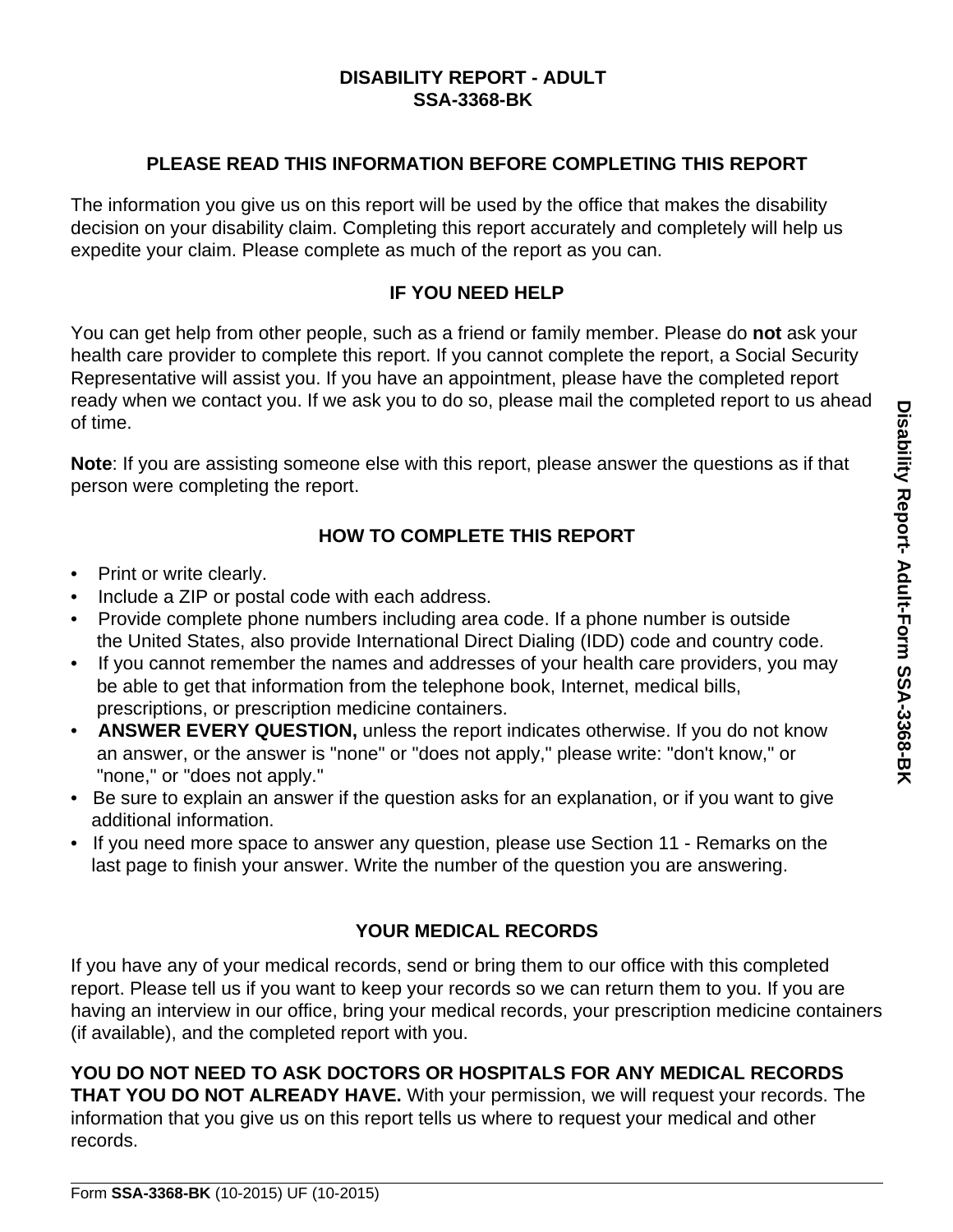## **DISABILITY REPORT - ADULT SSA-3368-BK**

## **PLEASE READ THIS INFORMATION BEFORE COMPLETING THIS REPORT**

The information you give us on this report will be used by the office that makes the disability decision on your disability claim. Completing this report accurately and completely will help us expedite your claim. Please complete as much of the report as you can.

# **IF YOU NEED HELP**

You can get help from other people, such as a friend or family member. Please do **not** ask your health care provider to complete this report. If you cannot complete the report, a Social Security Representative will assist you. If you have an appointment, please have the completed report ready when we contact you. If we ask you to do so, please mail the completed report to us ahead of time.

**Note**: If you are assisting someone else with this report, please answer the questions as if that person were completing the report.

# **HOW TO COMPLETE THIS REPORT**

- Print or write clearly.
- Include a ZIP or postal code with each address.
- Provide complete phone numbers including area code. If a phone number is outside the United States, also provide International Direct Dialing (IDD) code and country code.
- If you cannot remember the names and addresses of your health care providers, you may be able to get that information from the telephone book, Internet, medical bills, prescriptions, or prescription medicine containers.
- **ANSWER EVERY QUESTION,** unless the report indicates otherwise. If you do not know an answer, or the answer is "none" or "does not apply," please write: "don't know," or "none," or "does not apply."
- Be sure to explain an answer if the question asks for an explanation, or if you want to give additional information.
- If you need more space to answer any question, please use Section 11 Remarks on the last page to finish your answer. Write the number of the question you are answering.

# **YOUR MEDICAL RECORDS**

If you have any of your medical records, send or bring them to our office with this completed report. Please tell us if you want to keep your records so we can return them to you. If you are having an interview in our office, bring your medical records, your prescription medicine containers (if available), and the completed report with you.

**YOU DO NOT NEED TO ASK DOCTORS OR HOSPITALS FOR ANY MEDICAL RECORDS THAT YOU DO NOT ALREADY HAVE.** With your permission, we will request your records. The information that you give us on this report tells us where to request your medical and other records.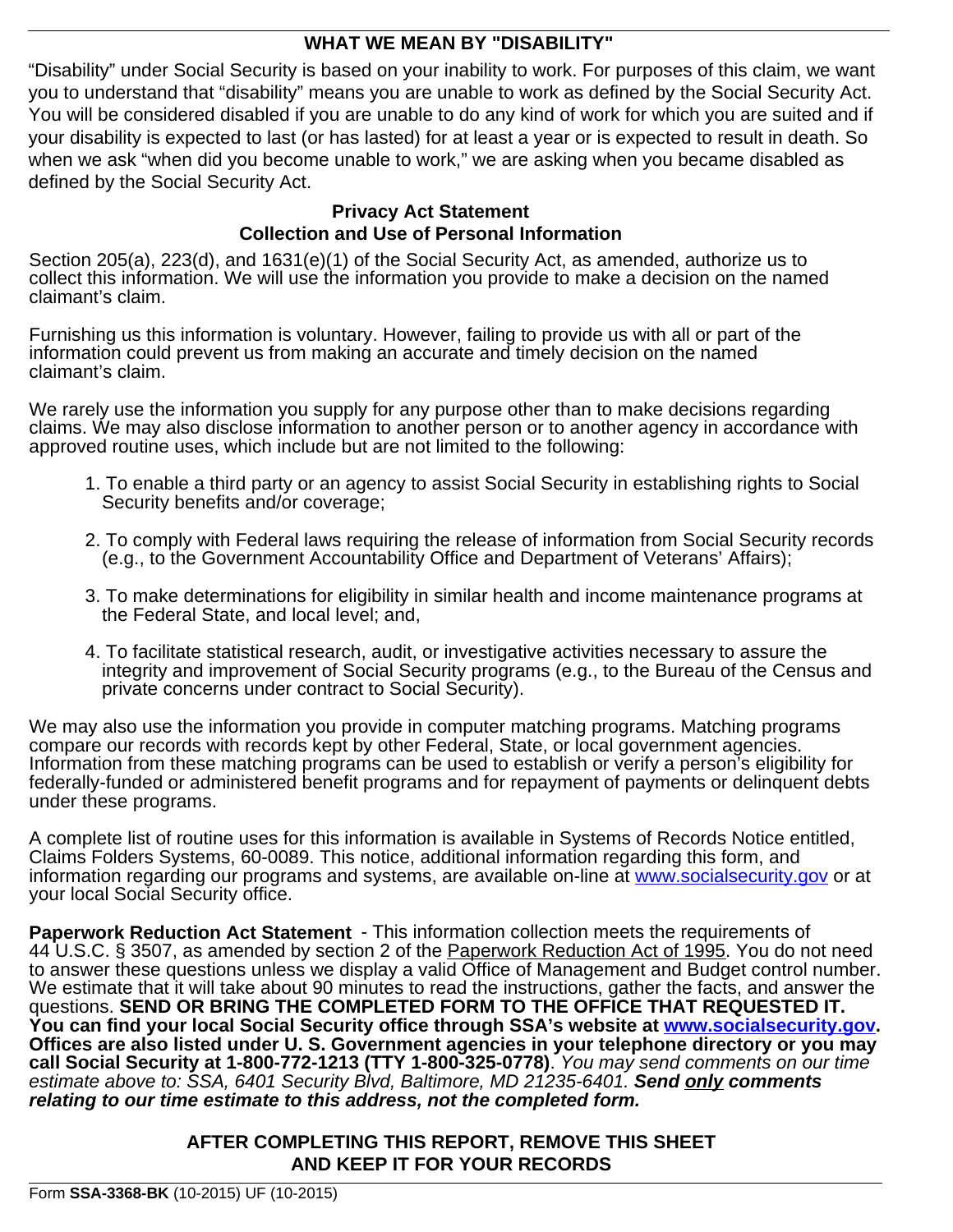## **WHAT WE MEAN BY "DISABILITY"**

"Disability" under Social Security is based on your inability to work. For purposes of this claim, we want you to understand that "disability" means you are unable to work as defined by the Social Security Act. You will be considered disabled if you are unable to do any kind of work for which you are suited and if your disability is expected to last (or has lasted) for at least a year or is expected to result in death. So when we ask "when did you become unable to work," we are asking when you became disabled as defined by the Social Security Act.

## **Privacy Act Statement Collection and Use of Personal Information**

Section 205(a), 223(d), and 1631(e)(1) of the Social Security Act, as amended, authorize us to collect this information. We will use the information you provide to make a decision on the named claimant's claim.

Furnishing us this information is voluntary. However, failing to provide us with all or part of the information could prevent us from making an accurate and timely decision on the named claimant's claim.

We rarely use the information you supply for any purpose other than to make decisions regarding claims. We may also disclose information to another person or to another agency in accordance with approved routine uses, which include but are not limited to the following:

- 1. To enable a third party or an agency to assist Social Security in establishing rights to Social Security benefits and/or coverage;
- 2. To comply with Federal laws requiring the release of information from Social Security records (e.g., to the Government Accountability Office and Department of Veterans' Affairs);
- 3. To make determinations for eligibility in similar health and income maintenance programs at the Federal State, and local level; and,
- 4. To facilitate statistical research, audit, or investigative activities necessary to assure the integrity and improvement of Social Security programs (e.g., to the Bureau of the Census and private concerns under contract to Social Security).

We may also use the information you provide in computer matching programs. Matching programs compare our records with records kept by other Federal, State, or local government agencies. Information from these matching programs can be used to establish or verify a person's eligibility for federally-funded or administered benefit programs and for repayment of payments or delinquent debts under these programs.

A complete list of routine uses for this information is available in Systems of Records Notice entitled, Claims Folders Systems, 60-0089. This notice, additional information regarding this form, and information regarding our programs and systems, are available on-line at<www.socialsecurity.gov> or at your local Social Security office.

**Paperwork Reduction Act Statement** - This information collection meets the requirements of 44 U.S.C. § 3507, as amended by section 2 of the Paperwork Reduction Act of 1995. You do not need to answer these questions unless we display a valid Office of Management and Budget control number. We estimate that it will take about 90 minutes to read the instructions, gather the facts, and answer the questions. **SEND OR BRING THE COMPLETED FORM TO THE OFFICE THAT REQUESTED IT. You can find your local Social Security office through SSA's website at [www.socialsecurity.gov.](www.socialsecurity.gov) Offices are also listed under U. S. Government agencies in your telephone directory or you may call Social Security at 1-800-772-1213 (TTY 1-800-325-0778)**. *You may send comments on our time estimate above to: SSA, 6401 Security Blvd, Baltimore, MD 21235-6401. Send only comments relating to our time estimate to this address, not the completed form.*

## **AFTER COMPLETING THIS REPORT, REMOVE THIS SHEET AND KEEP IT FOR YOUR RECORDS**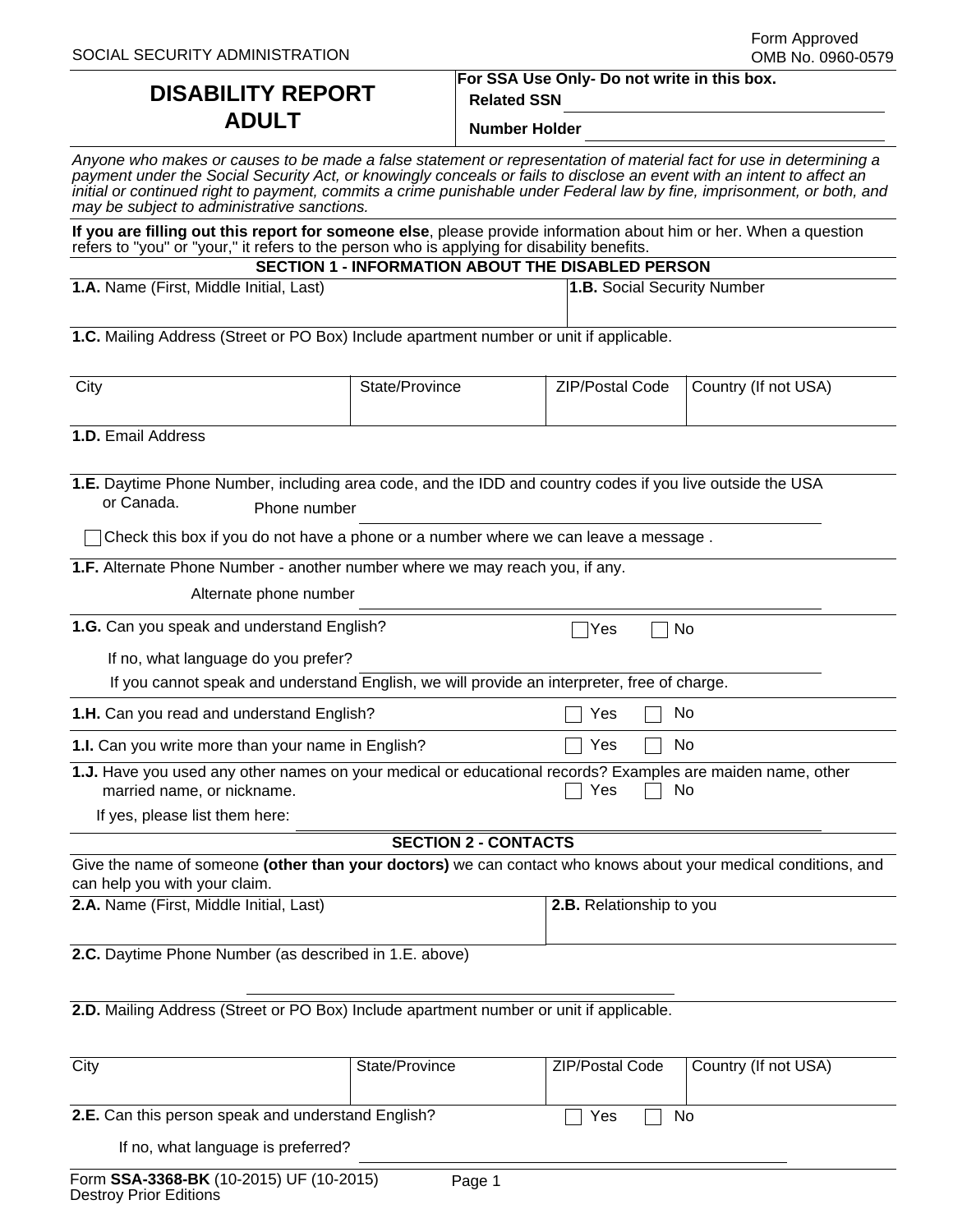# **DISABILITY REPORT ADULT**

**For SSA Use Only- Do not write in this box. Related SSN**

**Number Holder**

| Anyone who makes or causes to be made a false statement or representation of material fact for use in determining a     |
|-------------------------------------------------------------------------------------------------------------------------|
| payment under the Social Security Act, or knowingly conceals or fails to disclose an event with an intent to affect an  |
| initial or continued right to payment, commits a crime punishable under Federal law by fine, imprisonment, or both, and |
| may be subject to administrative sanctions.                                                                             |

**If you are filling out this report for someone else**, please provide information about him or her. When a question refers to "you" or "your," it refers to the person who is applying for disability benefits.

| SECTION 1 - INFORMATION ABOUT THE DISABLED PERSON |                             |  |  |  |  |  |
|---------------------------------------------------|-----------------------------|--|--|--|--|--|
| (First, Middle Initial, Last)                     | 1.B. Social Security Number |  |  |  |  |  |

**1.C.** Mailing Address (Street or PO Box) Include apartment number or unit if applicable.

| City | State/Province | ZIP/Postal Code | Country (If not USA) |
|------|----------------|-----------------|----------------------|
|      |                |                 |                      |

**1.D.** Email Address

**1.A.** Name

**1.E.** Daytime Phone Number, including area code, and the IDD and country codes if you live outside the USA or Canada. Phone number

 $\Box$  Check this box if you do not have a phone or a number where we can leave a message.

**1.F.** Alternate Phone Number - another number where we may reach you, if any.

Alternate phone number

| 1.G. Can you speak and understand English? | $\Box$ Yes $\Box$ No |
|--------------------------------------------|----------------------|
|--------------------------------------------|----------------------|

If no, what language do you prefer?

If you cannot speak and understand English, we will provide an interpreter, free of charge.

**1.H.** Can you read and understand English?  $\Box$  Yes  $\Box$  No

**1.I.** Can you write more than your name in English?  $\Box$  Yes  $\Box$  No

**1.J.** Have you used any other names on your medical or educational records? Examples are maiden name, other married name, or nickname.  $\Box$  Yes  $\Box$  No

If yes, please list them here:

| <b>SECTION 2 - CONTACTS</b> |  |
|-----------------------------|--|

| Give the name of someone (other than your doctors) we can contact who knows about your medical conditions, and |                          |
|----------------------------------------------------------------------------------------------------------------|--------------------------|
| can help you with your claim.                                                                                  |                          |
| <b>2.A.</b> Name (First, Middle Initial, Last)                                                                 | 2.B. Relationship to you |

**2.C.** Daytime Phone Number (as described in 1.E. above)

**2.D.** Mailing Address (Street or PO Box) Include apartment number or unit if applicable.

| City                                               | State/Province | ZIP/Postal Code | Country (If not USA) |
|----------------------------------------------------|----------------|-----------------|----------------------|
|                                                    |                |                 |                      |
| 2.E. Can this person speak and understand English? | No<br>Yes      |                 |                      |
| If no, what language is preferred?                 |                |                 |                      |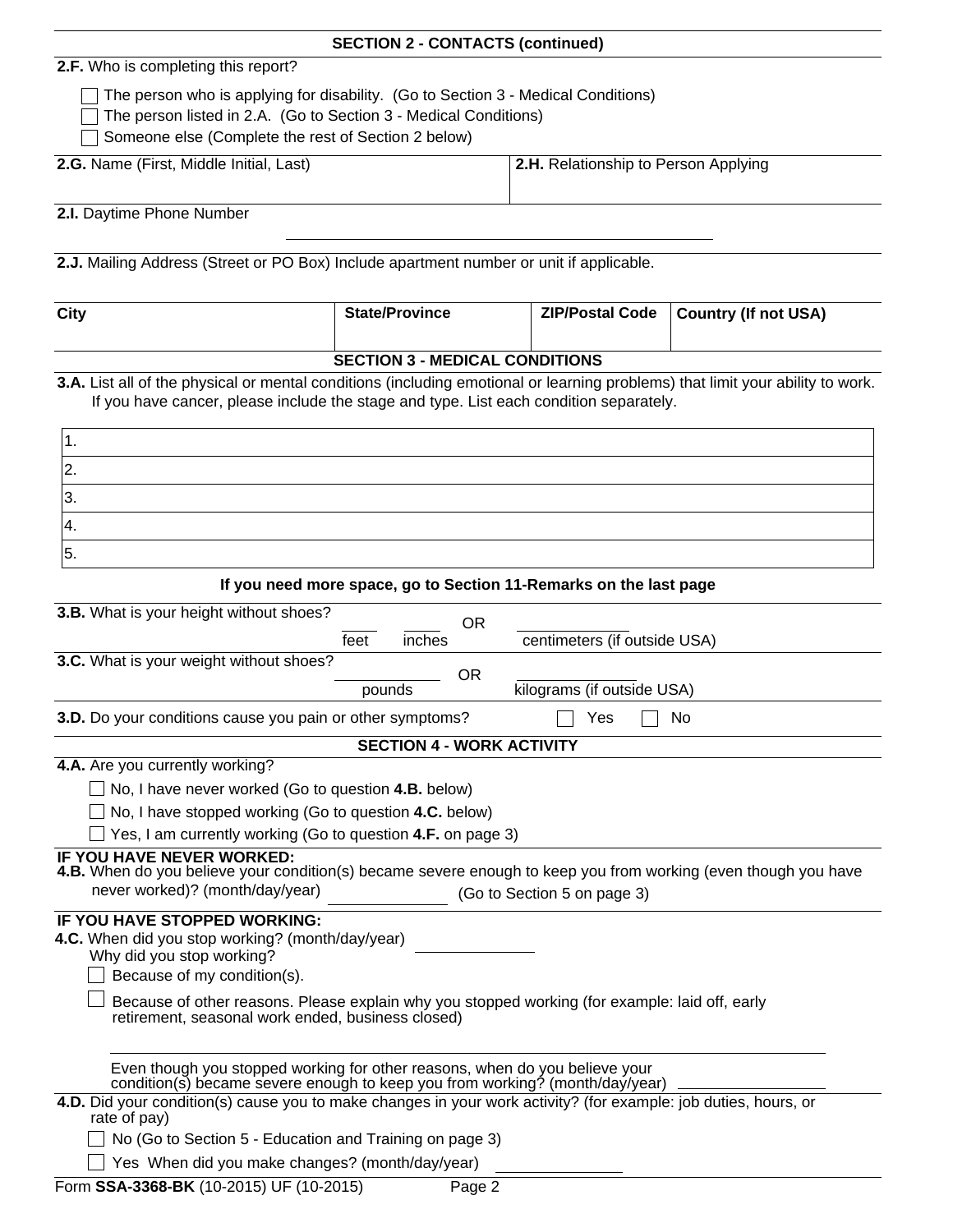|                                                                                                                                                                                                                                                                                                                                                                                                                                                                           | <b>SECTION 2 - CONTACTS (continued)</b>                           |                                      |                             |
|---------------------------------------------------------------------------------------------------------------------------------------------------------------------------------------------------------------------------------------------------------------------------------------------------------------------------------------------------------------------------------------------------------------------------------------------------------------------------|-------------------------------------------------------------------|--------------------------------------|-----------------------------|
| 2.F. Who is completing this report?                                                                                                                                                                                                                                                                                                                                                                                                                                       |                                                                   |                                      |                             |
| The person who is applying for disability. (Go to Section 3 - Medical Conditions)<br>The person listed in 2.A. (Go to Section 3 - Medical Conditions)<br>Someone else (Complete the rest of Section 2 below)                                                                                                                                                                                                                                                              |                                                                   |                                      |                             |
| 2.G. Name (First, Middle Initial, Last)                                                                                                                                                                                                                                                                                                                                                                                                                                   |                                                                   | 2.H. Relationship to Person Applying |                             |
| 2.I. Daytime Phone Number                                                                                                                                                                                                                                                                                                                                                                                                                                                 |                                                                   |                                      |                             |
| 2.J. Mailing Address (Street or PO Box) Include apartment number or unit if applicable.                                                                                                                                                                                                                                                                                                                                                                                   |                                                                   |                                      |                             |
| <b>City</b>                                                                                                                                                                                                                                                                                                                                                                                                                                                               | <b>State/Province</b>                                             | <b>ZIP/Postal Code</b>               | <b>Country (If not USA)</b> |
|                                                                                                                                                                                                                                                                                                                                                                                                                                                                           | <b>SECTION 3 - MEDICAL CONDITIONS</b>                             |                                      |                             |
| 3.A. List all of the physical or mental conditions (including emotional or learning problems) that limit your ability to work.<br>If you have cancer, please include the stage and type. List each condition separately.                                                                                                                                                                                                                                                  |                                                                   |                                      |                             |
| 1.<br>2.                                                                                                                                                                                                                                                                                                                                                                                                                                                                  |                                                                   |                                      |                             |
| 3.                                                                                                                                                                                                                                                                                                                                                                                                                                                                        |                                                                   |                                      |                             |
| 4.                                                                                                                                                                                                                                                                                                                                                                                                                                                                        |                                                                   |                                      |                             |
| 5.                                                                                                                                                                                                                                                                                                                                                                                                                                                                        |                                                                   |                                      |                             |
|                                                                                                                                                                                                                                                                                                                                                                                                                                                                           | If you need more space, go to Section 11-Remarks on the last page |                                      |                             |
| 3.B. What is your height without shoes?                                                                                                                                                                                                                                                                                                                                                                                                                                   |                                                                   |                                      |                             |
|                                                                                                                                                                                                                                                                                                                                                                                                                                                                           | <b>OR</b><br>feet<br>inches                                       | centimeters (if outside USA)         |                             |
| 3.C. What is your weight without shoes?                                                                                                                                                                                                                                                                                                                                                                                                                                   | <b>OR</b>                                                         |                                      |                             |
|                                                                                                                                                                                                                                                                                                                                                                                                                                                                           | pounds                                                            | kilograms (if outside USA)           |                             |
| 3.D. Do your conditions cause you pain or other symptoms?                                                                                                                                                                                                                                                                                                                                                                                                                 |                                                                   | Yes                                  | No                          |
| 4.A. Are you currently working?                                                                                                                                                                                                                                                                                                                                                                                                                                           | <b>SECTION 4 - WORK ACTIVITY</b>                                  |                                      |                             |
| $\Box$ No, I have never worked (Go to question 4.B. below)                                                                                                                                                                                                                                                                                                                                                                                                                |                                                                   |                                      |                             |
| $\Box$ No, I have stopped working (Go to question 4.C. below)                                                                                                                                                                                                                                                                                                                                                                                                             |                                                                   |                                      |                             |
| $\Box$ Yes, I am currently working (Go to question 4.F. on page 3)                                                                                                                                                                                                                                                                                                                                                                                                        |                                                                   |                                      |                             |
| IF YOU HAVE NEVER WORKED:<br>4.B. When do you believe your condition(s) became severe enough to keep you from working (even though you have<br>never worked)? (month/day/year)                                                                                                                                                                                                                                                                                            |                                                                   | (Go to Section 5 on page 3)          |                             |
| <b>IF YOU HAVE STOPPED WORKING:</b><br>4.C. When did you stop working? (month/day/year)<br>Why did you stop working?<br>Because of my condition(s).<br>Because of other reasons. Please explain why you stopped working (for example: laid off, early<br>retirement, seasonal work ended, business closed)<br>Even though you stopped working for other reasons, when do you believe your<br>condition(s) became severe enough to keep you from working? (month/day/year) |                                                                   |                                      |                             |
| 4.D. Did your condition(s) cause you to make changes in your work activity? (for example: job duties, hours, or                                                                                                                                                                                                                                                                                                                                                           |                                                                   |                                      |                             |
| rate of pay)<br>No (Go to Section 5 - Education and Training on page 3)                                                                                                                                                                                                                                                                                                                                                                                                   |                                                                   |                                      |                             |
| Yes When did you make changes? (month/day/year)                                                                                                                                                                                                                                                                                                                                                                                                                           |                                                                   |                                      |                             |
| Form SSA-3368-BK (10-2015) UF (10-2015)                                                                                                                                                                                                                                                                                                                                                                                                                                   | Page 2                                                            |                                      |                             |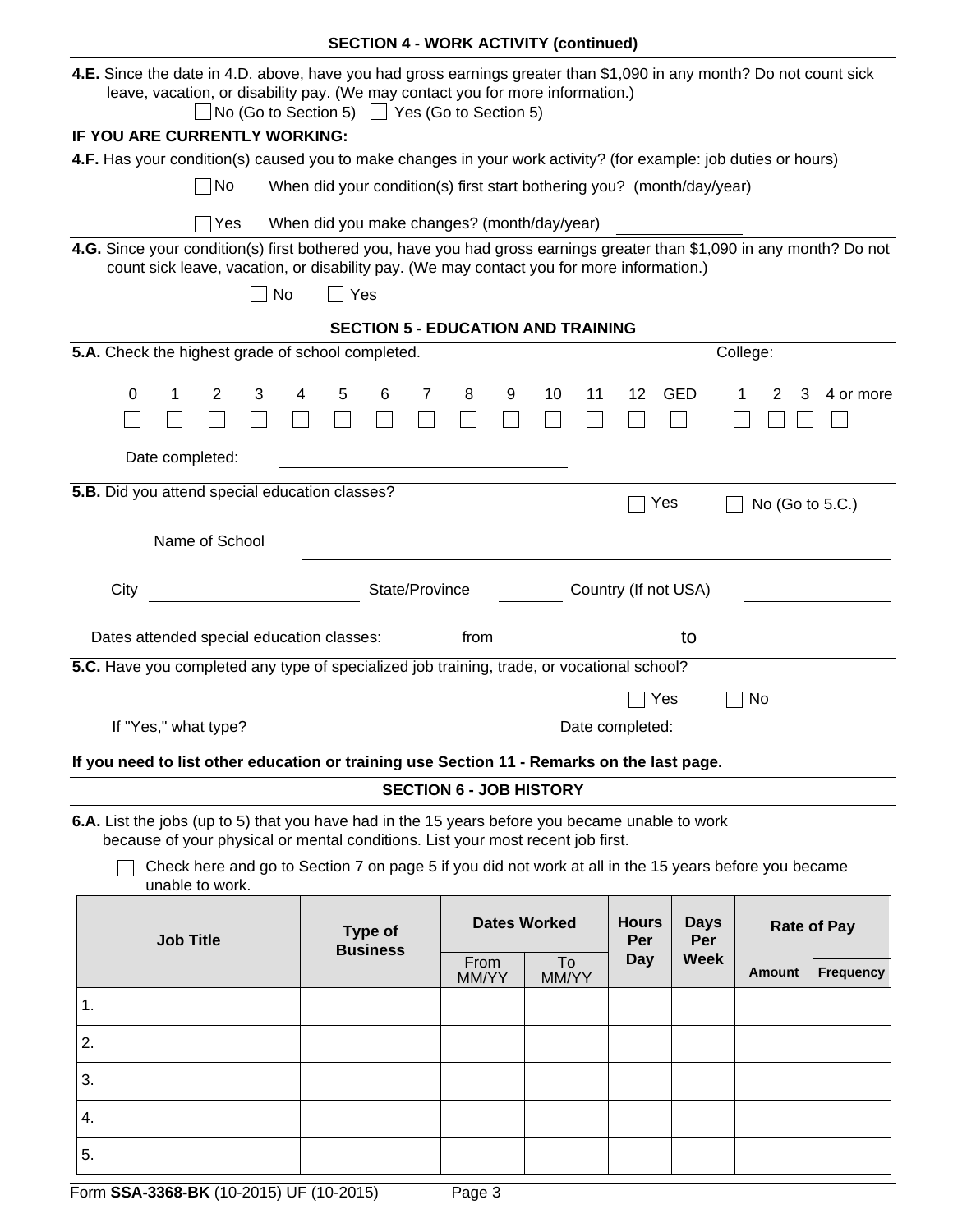|    |                                                                                                                                                                                                                                                       |                                                                                            |                                                |   |    |   |                     |                | <b>SECTION 4 - WORK ACTIVITY (continued)</b> |   |                                           |    |                    |                                                                                                 |  |                                                                                                                 |   |                                                                                                                        |
|----|-------------------------------------------------------------------------------------------------------------------------------------------------------------------------------------------------------------------------------------------------------|--------------------------------------------------------------------------------------------|------------------------------------------------|---|----|---|---------------------|----------------|----------------------------------------------|---|-------------------------------------------|----|--------------------|-------------------------------------------------------------------------------------------------|--|-----------------------------------------------------------------------------------------------------------------|---|------------------------------------------------------------------------------------------------------------------------|
|    | 4.E. Since the date in 4.D. above, have you had gross earnings greater than \$1,090 in any month? Do not count sick<br>leave, vacation, or disability pay. (We may contact you for more information.)<br>No (Go to Section 5)   Yes (Go to Section 5) |                                                                                            |                                                |   |    |   |                     |                |                                              |   |                                           |    |                    |                                                                                                 |  |                                                                                                                 |   |                                                                                                                        |
|    |                                                                                                                                                                                                                                                       | IF YOU ARE CURRENTLY WORKING:                                                              |                                                |   |    |   |                     |                |                                              |   |                                           |    |                    |                                                                                                 |  |                                                                                                                 |   |                                                                                                                        |
|    |                                                                                                                                                                                                                                                       |                                                                                            |                                                |   |    |   |                     |                |                                              |   |                                           |    |                    |                                                                                                 |  | 4.F. Has your condition(s) caused you to make changes in your work activity? (for example: job duties or hours) |   |                                                                                                                        |
|    |                                                                                                                                                                                                                                                       |                                                                                            | No                                             |   |    |   |                     |                |                                              |   |                                           |    |                    | When did your condition(s) first start bothering you? (month/day/year)                          |  |                                                                                                                 |   |                                                                                                                        |
|    |                                                                                                                                                                                                                                                       |                                                                                            | Yes                                            |   |    |   |                     |                | When did you make changes? (month/day/year)  |   |                                           |    |                    |                                                                                                 |  |                                                                                                                 |   |                                                                                                                        |
|    |                                                                                                                                                                                                                                                       |                                                                                            |                                                |   |    |   |                     |                |                                              |   |                                           |    |                    | count sick leave, vacation, or disability pay. (We may contact you for more information.)       |  |                                                                                                                 |   | 4.G. Since your condition(s) first bothered you, have you had gross earnings greater than \$1,090 in any month? Do not |
|    |                                                                                                                                                                                                                                                       |                                                                                            |                                                |   | No |   | Yes                 |                |                                              |   |                                           |    |                    |                                                                                                 |  |                                                                                                                 |   |                                                                                                                        |
|    |                                                                                                                                                                                                                                                       |                                                                                            |                                                |   |    |   |                     |                | <b>SECTION 5 - EDUCATION AND TRAINING</b>    |   |                                           |    |                    |                                                                                                 |  |                                                                                                                 |   |                                                                                                                        |
|    |                                                                                                                                                                                                                                                       | 5.A. Check the highest grade of school completed.                                          |                                                |   |    |   |                     |                |                                              |   |                                           |    |                    |                                                                                                 |  | College:                                                                                                        |   |                                                                                                                        |
|    |                                                                                                                                                                                                                                                       |                                                                                            |                                                |   |    |   |                     |                |                                              |   |                                           |    |                    |                                                                                                 |  |                                                                                                                 |   |                                                                                                                        |
|    | 0                                                                                                                                                                                                                                                     |                                                                                            | 2                                              | 3 | 4  | 5 | 6                   | 7              | 8                                            | 9 | 10                                        | 11 | 12                 | <b>GED</b>                                                                                      |  | 2                                                                                                               | 3 | 4 or more                                                                                                              |
|    |                                                                                                                                                                                                                                                       |                                                                                            |                                                |   |    |   |                     |                |                                              |   |                                           |    |                    |                                                                                                 |  |                                                                                                                 |   |                                                                                                                        |
|    |                                                                                                                                                                                                                                                       | Date completed:                                                                            |                                                |   |    |   |                     |                |                                              |   |                                           |    |                    |                                                                                                 |  |                                                                                                                 |   |                                                                                                                        |
|    |                                                                                                                                                                                                                                                       | 5.B. Did you attend special education classes?                                             |                                                |   |    |   |                     |                |                                              |   |                                           |    |                    |                                                                                                 |  |                                                                                                                 |   |                                                                                                                        |
|    |                                                                                                                                                                                                                                                       |                                                                                            |                                                |   |    |   |                     |                |                                              |   |                                           |    |                    | Yes                                                                                             |  |                                                                                                                 |   | No (Go to 5.C.)                                                                                                        |
|    |                                                                                                                                                                                                                                                       | Name of School                                                                             |                                                |   |    |   |                     |                |                                              |   |                                           |    |                    |                                                                                                 |  |                                                                                                                 |   |                                                                                                                        |
|    |                                                                                                                                                                                                                                                       |                                                                                            |                                                |   |    |   |                     |                |                                              |   |                                           |    |                    |                                                                                                 |  |                                                                                                                 |   |                                                                                                                        |
|    | City                                                                                                                                                                                                                                                  |                                                                                            |                                                |   |    |   |                     | State/Province |                                              |   |                                           |    |                    | Country (If not USA)                                                                            |  |                                                                                                                 |   |                                                                                                                        |
|    |                                                                                                                                                                                                                                                       |                                                                                            |                                                |   |    |   |                     |                |                                              |   |                                           |    |                    |                                                                                                 |  |                                                                                                                 |   |                                                                                                                        |
|    |                                                                                                                                                                                                                                                       | Dates attended special education classes:                                                  |                                                |   |    |   |                     |                | from                                         |   |                                           |    |                    | to                                                                                              |  |                                                                                                                 |   |                                                                                                                        |
|    |                                                                                                                                                                                                                                                       | 5.C. Have you completed any type of specialized job training, trade, or vocational school? |                                                |   |    |   |                     |                |                                              |   |                                           |    |                    |                                                                                                 |  |                                                                                                                 |   |                                                                                                                        |
|    |                                                                                                                                                                                                                                                       |                                                                                            |                                                |   |    |   |                     |                |                                              |   |                                           |    |                    | Yes                                                                                             |  | No                                                                                                              |   |                                                                                                                        |
|    |                                                                                                                                                                                                                                                       | If "Yes," what type?                                                                       |                                                |   |    |   |                     |                |                                              |   |                                           |    | Date completed:    |                                                                                                 |  |                                                                                                                 |   |                                                                                                                        |
|    |                                                                                                                                                                                                                                                       |                                                                                            |                                                |   |    |   |                     |                |                                              |   |                                           |    |                    |                                                                                                 |  |                                                                                                                 |   |                                                                                                                        |
|    |                                                                                                                                                                                                                                                       |                                                                                            |                                                |   |    |   |                     |                |                                              |   |                                           |    |                    | If you need to list other education or training use Section 11 - Remarks on the last page.      |  |                                                                                                                 |   |                                                                                                                        |
|    |                                                                                                                                                                                                                                                       |                                                                                            |                                                |   |    |   |                     |                | <b>SECTION 6 - JOB HISTORY</b>               |   |                                           |    |                    |                                                                                                 |  |                                                                                                                 |   |                                                                                                                        |
|    |                                                                                                                                                                                                                                                       | because of your physical or mental conditions. List your most recent job first.            |                                                |   |    |   |                     |                |                                              |   |                                           |    |                    | 6.A. List the jobs (up to 5) that you have had in the 15 years before you became unable to work |  |                                                                                                                 |   |                                                                                                                        |
|    |                                                                                                                                                                                                                                                       | unable to work.                                                                            |                                                |   |    |   |                     |                |                                              |   |                                           |    |                    |                                                                                                 |  | Check here and go to Section 7 on page 5 if you did not work at all in the 15 years before you became           |   |                                                                                                                        |
|    |                                                                                                                                                                                                                                                       |                                                                                            | Type of<br><b>Job Title</b><br><b>Business</b> |   |    |   | <b>Dates Worked</b> |                |                                              |   | <b>Hours</b><br><b>Days</b><br>Per<br>Per |    | <b>Rate of Pay</b> |                                                                                                 |  |                                                                                                                 |   |                                                                                                                        |
|    |                                                                                                                                                                                                                                                       |                                                                                            |                                                |   |    |   |                     |                | From<br>MM/YY                                |   | To<br>MM/YY                               |    | <b>Day</b>         | <b>Week</b>                                                                                     |  | Amount                                                                                                          |   | <b>Frequency</b>                                                                                                       |
| 1. |                                                                                                                                                                                                                                                       |                                                                                            |                                                |   |    |   |                     |                |                                              |   |                                           |    |                    |                                                                                                 |  |                                                                                                                 |   |                                                                                                                        |
|    |                                                                                                                                                                                                                                                       |                                                                                            |                                                |   |    |   |                     |                |                                              |   |                                           |    |                    |                                                                                                 |  |                                                                                                                 |   |                                                                                                                        |
| 2. |                                                                                                                                                                                                                                                       |                                                                                            |                                                |   |    |   |                     |                |                                              |   |                                           |    |                    |                                                                                                 |  |                                                                                                                 |   |                                                                                                                        |
|    |                                                                                                                                                                                                                                                       |                                                                                            |                                                |   |    |   |                     |                |                                              |   |                                           |    |                    |                                                                                                 |  |                                                                                                                 |   |                                                                                                                        |
| 3. |                                                                                                                                                                                                                                                       |                                                                                            |                                                |   |    |   |                     |                |                                              |   |                                           |    |                    |                                                                                                 |  |                                                                                                                 |   |                                                                                                                        |
|    |                                                                                                                                                                                                                                                       |                                                                                            |                                                |   |    |   |                     |                |                                              |   |                                           |    |                    |                                                                                                 |  |                                                                                                                 |   |                                                                                                                        |
| 4. |                                                                                                                                                                                                                                                       |                                                                                            |                                                |   |    |   |                     |                |                                              |   |                                           |    |                    |                                                                                                 |  |                                                                                                                 |   |                                                                                                                        |
| 5. |                                                                                                                                                                                                                                                       |                                                                                            |                                                |   |    |   |                     |                |                                              |   |                                           |    |                    |                                                                                                 |  |                                                                                                                 |   |                                                                                                                        |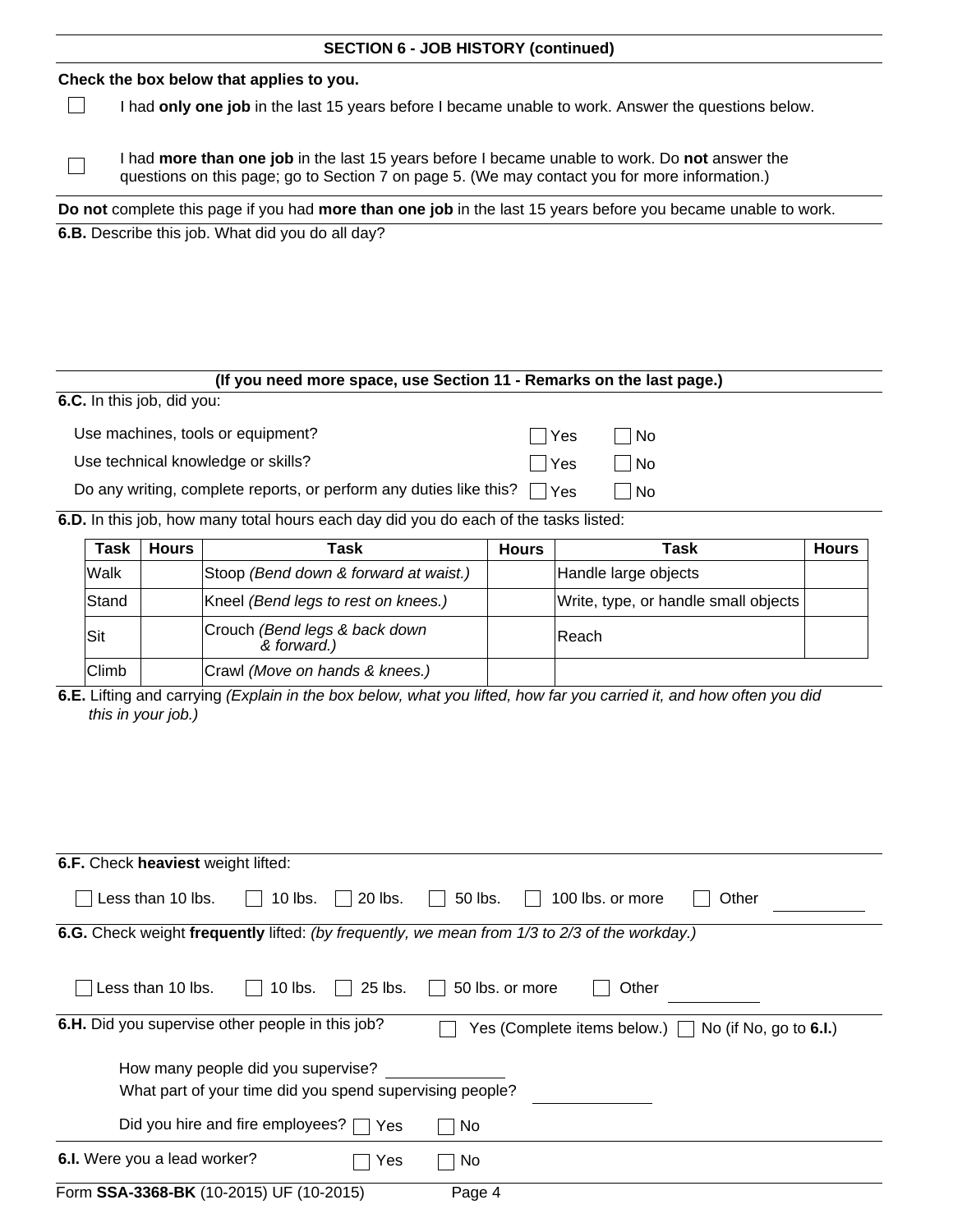## **SECTION 6 - JOB HISTORY (continued) Check the box below that applies to you.**  $\Box$ I had **only one job** in the last 15 years before I became unable to work. Answer the questions below. I had **more than one job** in the last 15 years before I became unable to work. Do **not** answer the  $\Box$ questions on this page; go to Section 7 on page 5. (We may contact you for more information.) **Do not** complete this page if you had **more than one job** in the last 15 years before you became unable to work. **6.B.** Describe this job. What did you do all day?

# **(If you need more space, use Section 11 - Remarks on the last page.) 6.C.** In this job, did you: Use machines, tools or equipment?  $\Box$  Yes  $\Box$  No Use technical knowledge or skills? Yes No Do any writing, complete reports, or perform any duties like this?  $\Box$  Yes  $\Box$  No **6.D.** In this job, how many total hours each day did you do each of the tasks listed: **Task Hours Task Hours Task Hours**

| Task         | <b>Hours</b> | Task                                         | <b>Hours</b> | Task                                 | <b>Hours</b> |
|--------------|--------------|----------------------------------------------|--------------|--------------------------------------|--------------|
| Walk         |              | Stoop (Bend down & forward at waist.)        |              | Handle large objects                 |              |
| Stand        |              | Kneel (Bend legs to rest on knees.)          |              | Write, type, or handle small objects |              |
| Sit          |              | Crouch (Bend legs & back down<br>& forward.) |              | <b>Reach</b>                         |              |
| <b>Climb</b> |              | Crawl (Move on hands & knees.)               |              |                                      |              |

**6.E.** Lifting and carrying *(Explain in the box below, what you lifted, how far you carried it, and how often you did this in your job.)*

| 6.F. Check heaviest weight lifted:                                                                            |
|---------------------------------------------------------------------------------------------------------------|
| Less than 10 lbs.<br>$10$ lbs.<br>20 lbs.<br>50 lbs.<br>100 lbs. or more<br>Other                             |
| <b>6.G.</b> Check weight frequently lifted: (by frequently, we mean from 1/3 to 2/3 of the workday.)          |
|                                                                                                               |
| Less than 10 lbs.<br>25 lbs.<br>50 lbs. or more<br>$10$ lbs.<br>Other                                         |
|                                                                                                               |
| 6.H. Did you supervise other people in this job?<br>Yes (Complete items below.) $\Box$ No (if No, go to 6.I.) |
|                                                                                                               |
| How many people did you supervise?                                                                            |
| What part of your time did you spend supervising people?                                                      |
| Did you hire and fire employees? $\Box$ Yes<br>No                                                             |
| 6.I. Were you a lead worker?<br>No<br>Yes                                                                     |
| Form SSA-3368-BK (10-2015) UF (10-2015)<br>Page 4                                                             |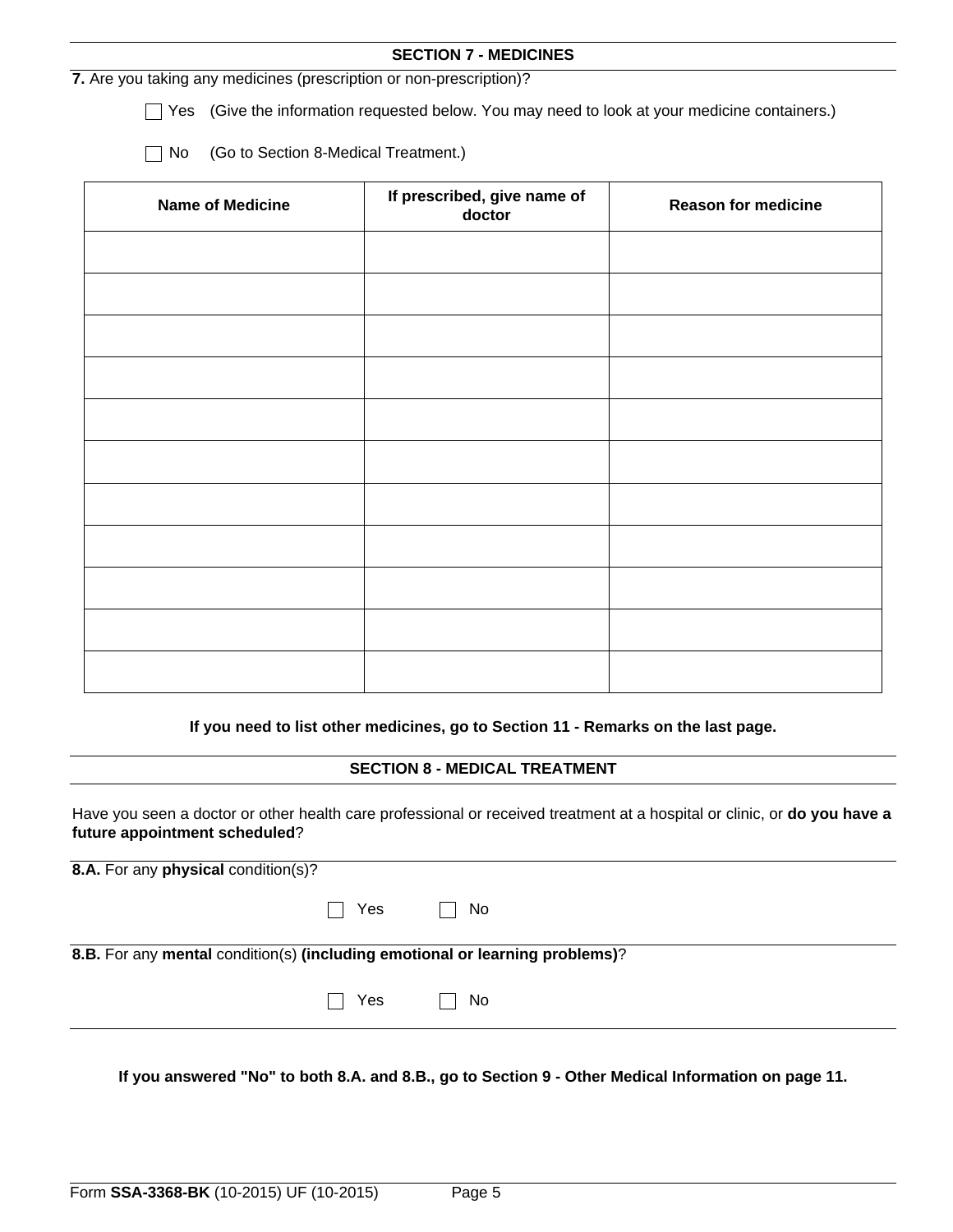|                                                                     | <b>SECTION 7 - MEDICINES</b>                                                              |                            |
|---------------------------------------------------------------------|-------------------------------------------------------------------------------------------|----------------------------|
| 7. Are you taking any medicines (prescription or non-prescription)? |                                                                                           |                            |
| Yes                                                                 | (Give the information requested below. You may need to look at your medicine containers.) |                            |
| (Go to Section 8-Medical Treatment.)<br>No                          |                                                                                           |                            |
| <b>Name of Medicine</b>                                             | If prescribed, give name of<br>doctor                                                     | <b>Reason for medicine</b> |
|                                                                     |                                                                                           |                            |
|                                                                     |                                                                                           |                            |
|                                                                     |                                                                                           |                            |
|                                                                     |                                                                                           |                            |
|                                                                     |                                                                                           |                            |
|                                                                     |                                                                                           |                            |
|                                                                     |                                                                                           |                            |
|                                                                     |                                                                                           |                            |
|                                                                     |                                                                                           |                            |
|                                                                     |                                                                                           |                            |
|                                                                     |                                                                                           |                            |
|                                                                     |                                                                                           |                            |

**If you need to list other medicines, go to Section 11 - Remarks on the last page.**

## **SECTION 8 - MEDICAL TREATMENT**

Have you seen a doctor or other health care professional or received treatment at a hospital or clinic, or **do you have a future appointment scheduled**?

| 8.A. For any physical condition(s)?                                          |                      |  |  |
|------------------------------------------------------------------------------|----------------------|--|--|
|                                                                              | $\Box$ Yes $\Box$ No |  |  |
| 8.B. For any mental condition(s) (including emotional or learning problems)? |                      |  |  |
|                                                                              | $\Box$ Yes $\Box$ No |  |  |
|                                                                              |                      |  |  |

**If you answered "No" to both 8.A. and 8.B., go to Section 9 - Other Medical Information on page 11.**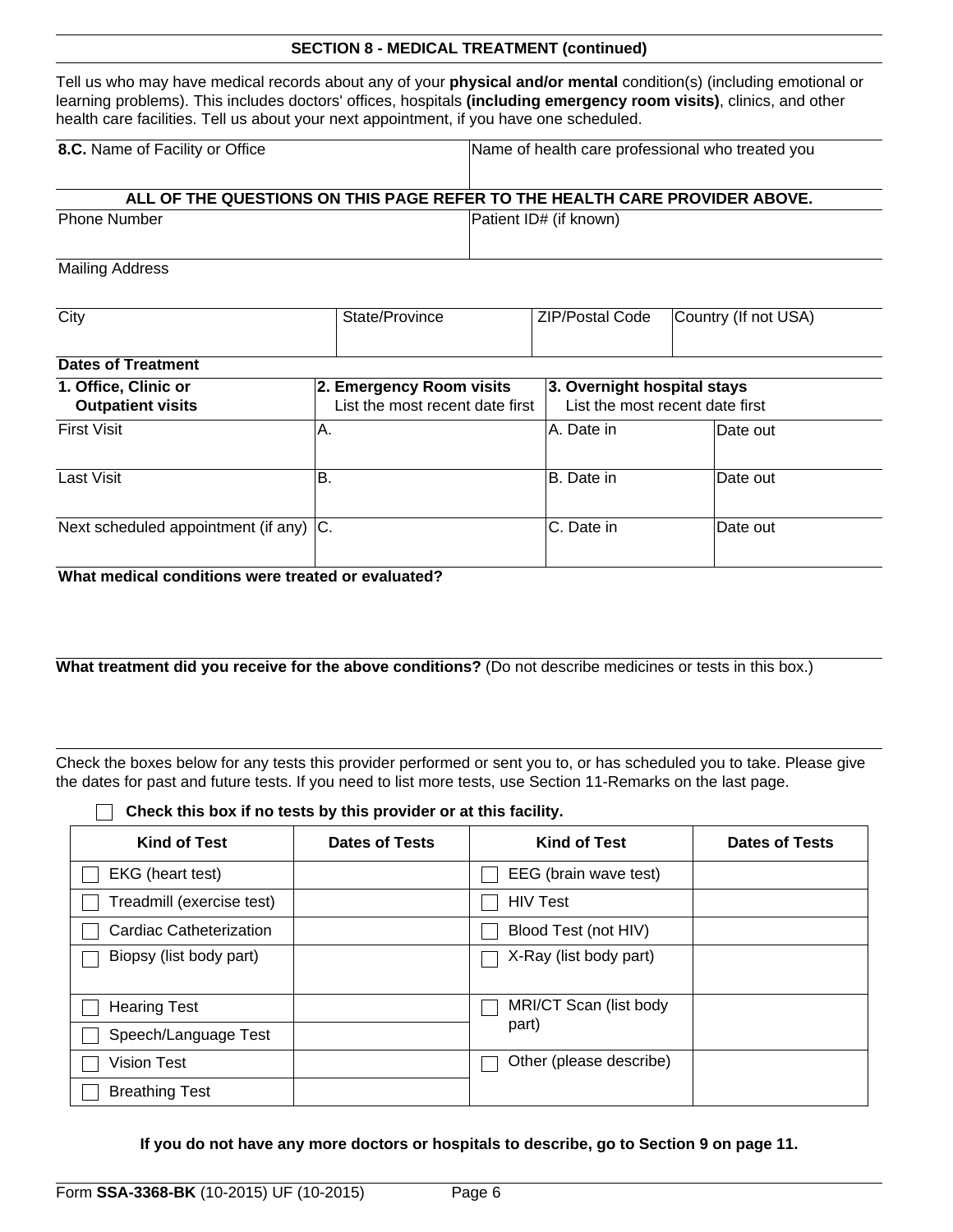Tell us who may have medical records about any of your **physical and/or mental** condition(s) (including emotional or learning problems). This includes doctors' offices, hospitals **(including emergency room visits)**, clinics, and other health care facilities. Tell us about your next appointment, if you have one scheduled.

| 8.C. Name of Facility or Office                                            | Name of health care professional who treated you |  |  |
|----------------------------------------------------------------------------|--------------------------------------------------|--|--|
|                                                                            |                                                  |  |  |
| ALL OF THE QUESTIONS ON THIS PAGE REFER TO THE HEALTH CARE PROVIDER ABOVE. |                                                  |  |  |
| <b>Phone Number</b>                                                        | Patient ID# (if known)                           |  |  |

Mailing Address

| City                                   | State/Province                  | <b>ZIP/Postal Code</b>          | Country (If not USA) |
|----------------------------------------|---------------------------------|---------------------------------|----------------------|
|                                        |                                 |                                 |                      |
| <b>Dates of Treatment</b>              |                                 |                                 |                      |
| 1. Office, Clinic or                   | 2. Emergency Room visits        | 3. Overnight hospital stays     |                      |
| <b>Outpatient visits</b>               | List the most recent date first | List the most recent date first |                      |
| <b>First Visit</b>                     | A.                              | IA. Date in                     | lDate out            |
|                                        |                                 |                                 |                      |
| Last Visit                             | B.                              | B. Date in                      | lDate out            |
|                                        |                                 |                                 |                      |
| Next scheduled appointment (if any) C. |                                 | C. Date in                      | lDate out            |
|                                        |                                 |                                 |                      |

**What medical conditions were treated or evaluated?**

What treatment did you receive for the above conditions? (Do not describe medicines or tests in this box.)

Check the boxes below for any tests this provider performed or sent you to, or has scheduled you to take. Please give the dates for past and future tests. If you need to list more tests, use Section 11-Remarks on the last page.

**Check this box if no tests by this provider or at this facility.**

| <b>Kind of Test</b>       | Dates of Tests | <b>Kind of Test</b>     | <b>Dates of Tests</b> |
|---------------------------|----------------|-------------------------|-----------------------|
| EKG (heart test)          |                | EEG (brain wave test)   |                       |
| Treadmill (exercise test) |                | <b>HIV Test</b>         |                       |
| Cardiac Catheterization   |                | Blood Test (not HIV)    |                       |
| Biopsy (list body part)   |                | X-Ray (list body part)  |                       |
|                           |                |                         |                       |
| <b>Hearing Test</b>       |                | MRI/CT Scan (list body  |                       |
| Speech/Language Test      |                | part)                   |                       |
| Vision Test               |                | Other (please describe) |                       |
| <b>Breathing Test</b>     |                |                         |                       |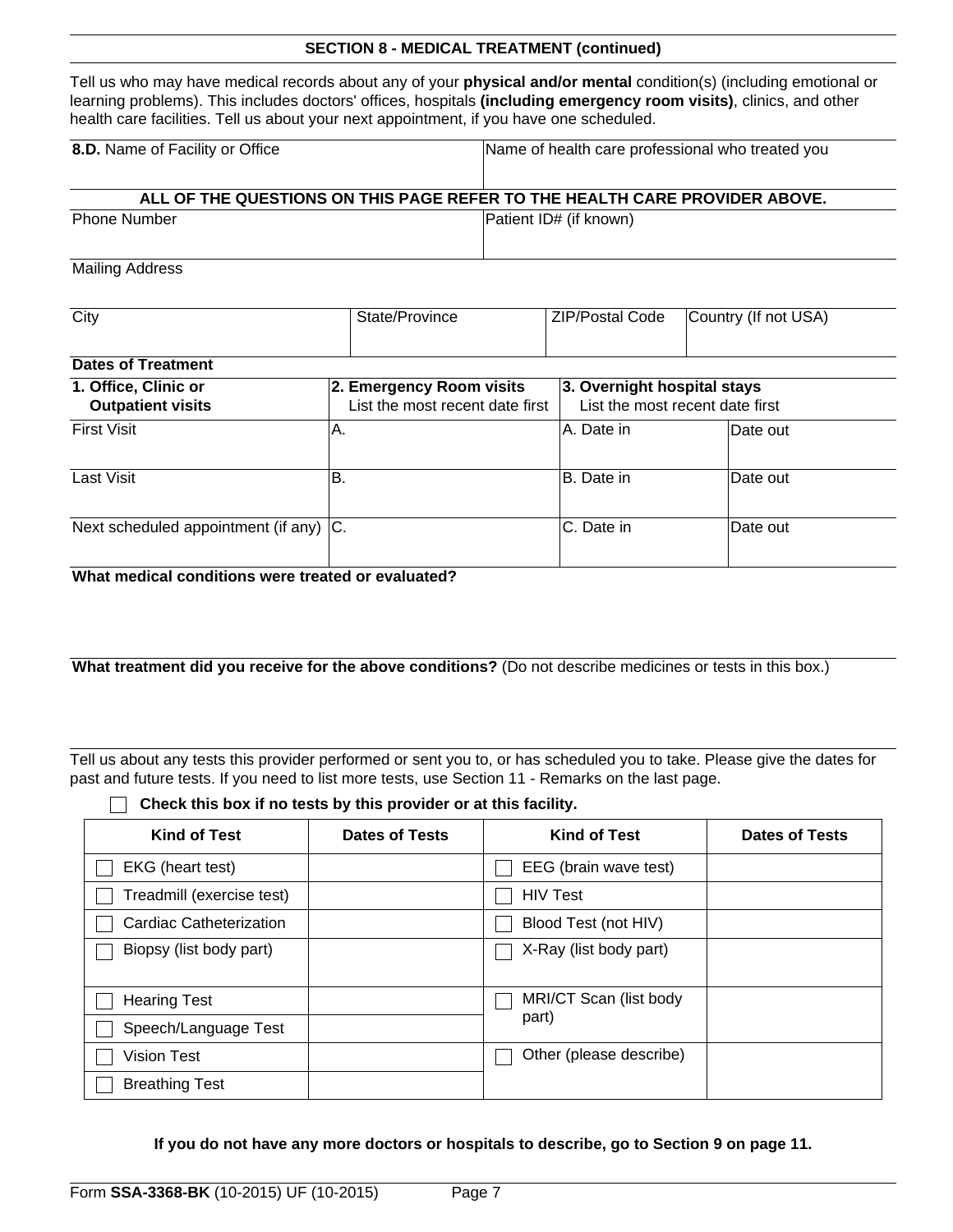Tell us who may have medical records about any of your **physical and/or mental** condition(s) (including emotional or learning problems). This includes doctors' offices, hospitals **(including emergency room visits)**, clinics, and other health care facilities. Tell us about your next appointment, if you have one scheduled.

| 8.D. Name of Facility or Office                                            | Name of health care professional who treated you |  |  |
|----------------------------------------------------------------------------|--------------------------------------------------|--|--|
| ALL OF THE QUESTIONS ON THIS PAGE REFER TO THE HEALTH CARE PROVIDER ABOVE. |                                                  |  |  |
| <b>Phone Number</b>                                                        | Patient ID# (if known)                           |  |  |

Mailing Address

| City                                             | State/Province                                              | <b>ZIP/Postal Code</b>      | Country (If not USA)            |
|--------------------------------------------------|-------------------------------------------------------------|-----------------------------|---------------------------------|
|                                                  |                                                             |                             |                                 |
| <b>Dates of Treatment</b>                        |                                                             |                             |                                 |
| 1. Office, Clinic or<br><b>Outpatient visits</b> | 2. Emergency Room visits<br>List the most recent date first | 3. Overnight hospital stays | List the most recent date first |
| <b>First Visit</b>                               | Α.                                                          | IA. Date in                 | lDate out                       |
| Last Visit                                       | В.                                                          | B. Date in                  | Date out                        |
| Next scheduled appointment (if any) C.           |                                                             | C. Date in                  | Date out                        |

**What medical conditions were treated or evaluated?**

**What treatment did you receive for the above conditions?** (Do not describe medicines or tests in this box.)

Tell us about any tests this provider performed or sent you to, or has scheduled you to take. Please give the dates for past and future tests. If you need to list more tests, use Section 11 - Remarks on the last page.

**Check this box if no tests by this provider or at this facility.**

| <b>Kind of Test</b>       | <b>Dates of Tests</b> | <b>Kind of Test</b>     | <b>Dates of Tests</b> |
|---------------------------|-----------------------|-------------------------|-----------------------|
| EKG (heart test)          |                       | EEG (brain wave test)   |                       |
| Treadmill (exercise test) |                       | <b>HIV Test</b>         |                       |
| Cardiac Catheterization   |                       | Blood Test (not HIV)    |                       |
| Biopsy (list body part)   |                       | X-Ray (list body part)  |                       |
|                           |                       |                         |                       |
| <b>Hearing Test</b>       |                       | MRI/CT Scan (list body  |                       |
| Speech/Language Test      |                       | part)                   |                       |
| <b>Vision Test</b>        |                       | Other (please describe) |                       |
| <b>Breathing Test</b>     |                       |                         |                       |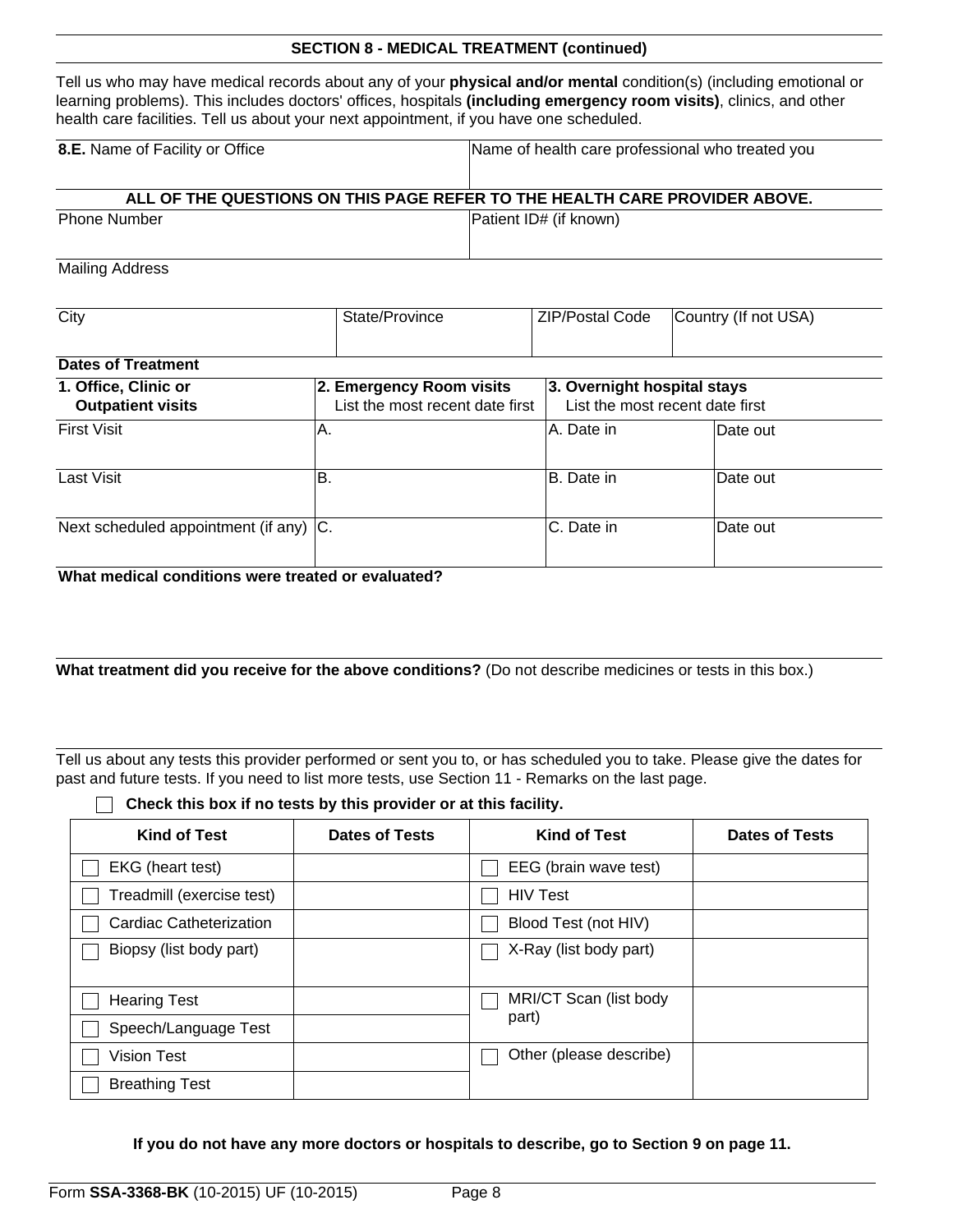Tell us who may have medical records about any of your **physical and/or mental** condition(s) (including emotional or learning problems). This includes doctors' offices, hospitals **(including emergency room visits)**, clinics, and other health care facilities. Tell us about your next appointment, if you have one scheduled.

| 8.E. Name of Facility or Office | Name of health care professional who treated you                           |  |  |
|---------------------------------|----------------------------------------------------------------------------|--|--|
|                                 | ALL OF THE QUESTIONS ON THIS PAGE REFER TO THE HEALTH CARE PROVIDER ABOVE. |  |  |
| <b>Phone Number</b>             | Patient ID# (if known)                                                     |  |  |

Mailing Address

| City                                   | State/Province                  | <b>ZIP/Postal Code</b>          | Country (If not USA) |
|----------------------------------------|---------------------------------|---------------------------------|----------------------|
|                                        |                                 |                                 |                      |
| <b>Dates of Treatment</b>              |                                 |                                 |                      |
| 1. Office, Clinic or                   | 2. Emergency Room visits        | 3. Overnight hospital stays     |                      |
| <b>Outpatient visits</b>               | List the most recent date first | List the most recent date first |                      |
| <b>First Visit</b>                     | Α.                              | A. Date in                      | Date out             |
| Last Visit                             | В.                              | B. Date in                      | Date out             |
| Next scheduled appointment (if any) C. |                                 | C. Date in                      | Date out             |

**What medical conditions were treated or evaluated?**

**What treatment did you receive for the above conditions?** (Do not describe medicines or tests in this box.)

Tell us about any tests this provider performed or sent you to, or has scheduled you to take. Please give the dates for past and future tests. If you need to list more tests, use Section 11 - Remarks on the last page.

**Check this box if no tests by this provider or at this facility.**

| <b>Kind of Test</b>       | <b>Dates of Tests</b> | <b>Kind of Test</b>     | <b>Dates of Tests</b> |
|---------------------------|-----------------------|-------------------------|-----------------------|
| EKG (heart test)          |                       | EEG (brain wave test)   |                       |
| Treadmill (exercise test) |                       | <b>HIV Test</b>         |                       |
| Cardiac Catheterization   |                       | Blood Test (not HIV)    |                       |
| Biopsy (list body part)   |                       | X-Ray (list body part)  |                       |
| <b>Hearing Test</b>       |                       | MRI/CT Scan (list body  |                       |
| Speech/Language Test      |                       | part)                   |                       |
| <b>Vision Test</b>        |                       | Other (please describe) |                       |
| <b>Breathing Test</b>     |                       |                         |                       |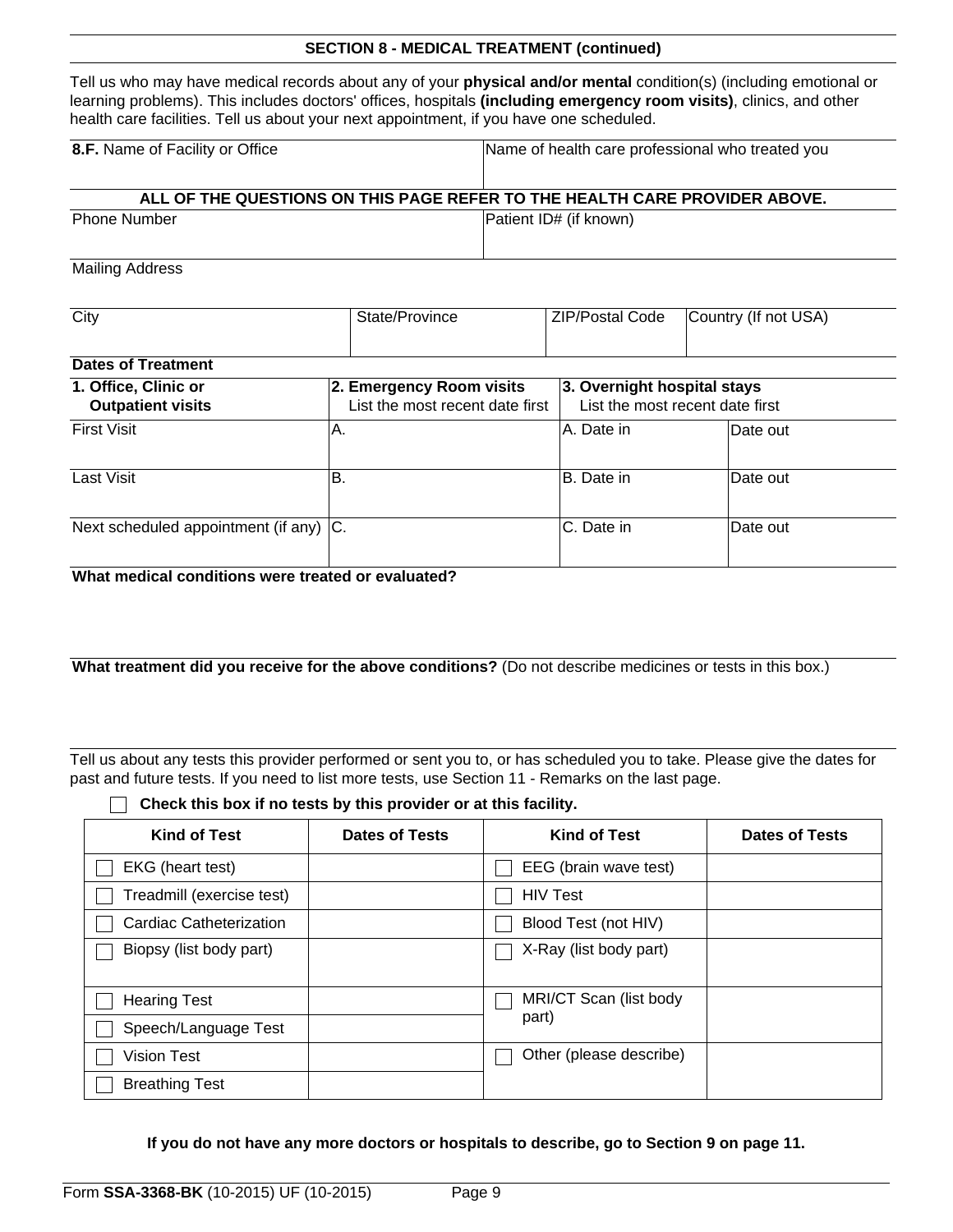Tell us who may have medical records about any of your **physical and/or mental** condition(s) (including emotional or learning problems). This includes doctors' offices, hospitals **(including emergency room visits)**, clinics, and other health care facilities. Tell us about your next appointment, if you have one scheduled.

| 8.F. Name of Facility or Office                                            | Name of health care professional who treated you |  |
|----------------------------------------------------------------------------|--------------------------------------------------|--|
| ALL OF THE QUESTIONS ON THIS PAGE REFER TO THE HEALTH CARE PROVIDER ABOVE. |                                                  |  |
| <b>Phone Number</b>                                                        | Patient ID# (if known)                           |  |

Mailing Address

| City                                             | State/Province                                              | <b>ZIP/Postal Code</b>      | Country (If not USA)            |
|--------------------------------------------------|-------------------------------------------------------------|-----------------------------|---------------------------------|
|                                                  |                                                             |                             |                                 |
| <b>Dates of Treatment</b>                        |                                                             |                             |                                 |
| 1. Office, Clinic or<br><b>Outpatient visits</b> | 2. Emergency Room visits<br>List the most recent date first | 3. Overnight hospital stays | List the most recent date first |
| <b>First Visit</b>                               | IA.                                                         | IA. Date in                 | Date out                        |
| Last Visit                                       | lB.                                                         | B. Date in                  | lDate out                       |
| Next scheduled appointment (if any) C.           |                                                             | C. Date in                  | lDate out                       |

**What medical conditions were treated or evaluated?**

**What treatment did you receive for the above conditions?** (Do not describe medicines or tests in this box.)

Tell us about any tests this provider performed or sent you to, or has scheduled you to take. Please give the dates for past and future tests. If you need to list more tests, use Section 11 - Remarks on the last page.

**Check this box if no tests by this provider or at this facility.**

| <b>Kind of Test</b>       | <b>Dates of Tests</b> | <b>Kind of Test</b>     | <b>Dates of Tests</b> |
|---------------------------|-----------------------|-------------------------|-----------------------|
| EKG (heart test)          |                       | EEG (brain wave test)   |                       |
| Treadmill (exercise test) |                       | <b>HIV Test</b>         |                       |
| Cardiac Catheterization   |                       | Blood Test (not HIV)    |                       |
| Biopsy (list body part)   |                       | X-Ray (list body part)  |                       |
|                           |                       |                         |                       |
| <b>Hearing Test</b>       |                       | MRI/CT Scan (list body  |                       |
| Speech/Language Test      |                       | part)                   |                       |
| <b>Vision Test</b>        |                       | Other (please describe) |                       |
| <b>Breathing Test</b>     |                       |                         |                       |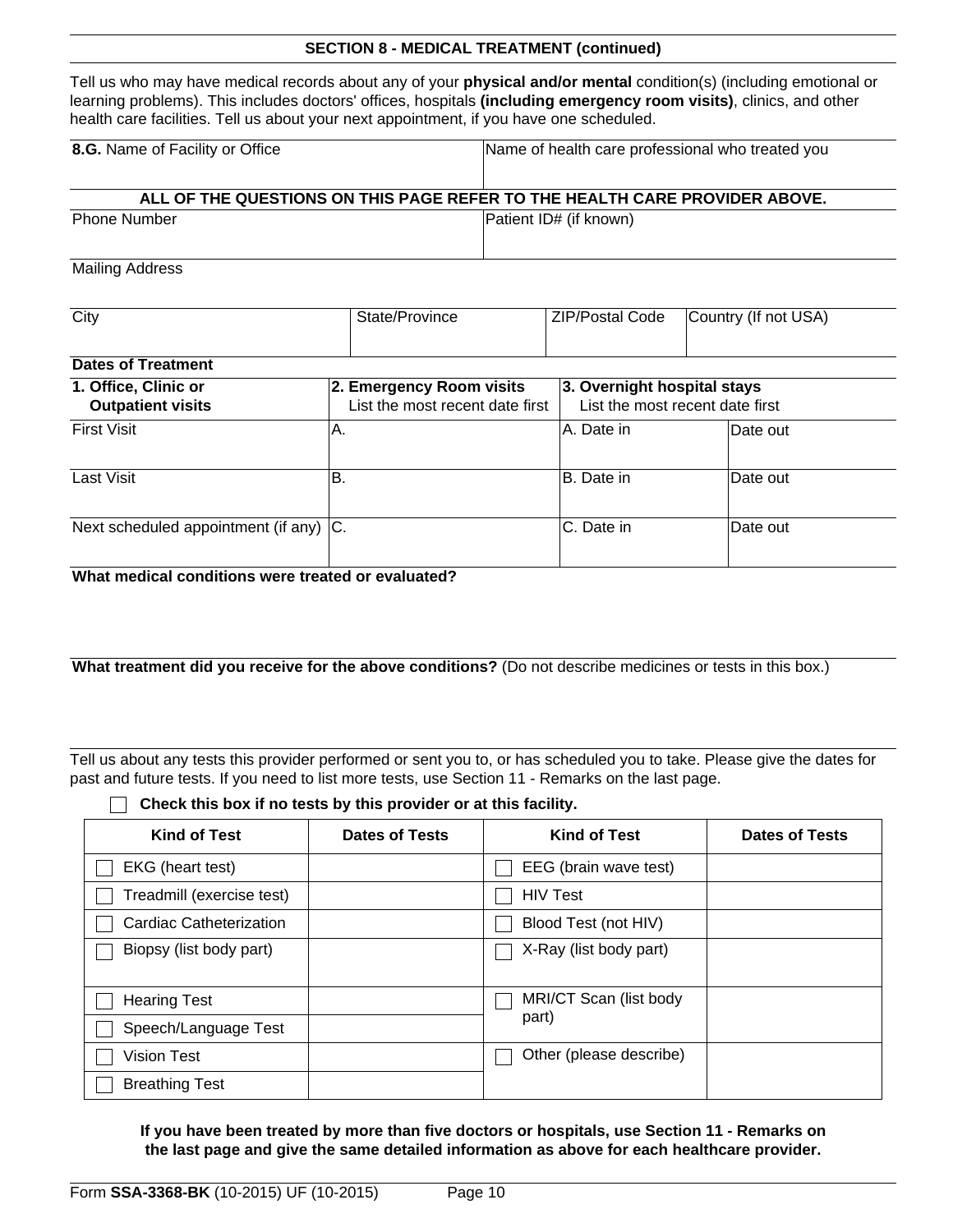Tell us who may have medical records about any of your **physical and/or mental** condition(s) (including emotional or learning problems). This includes doctors' offices, hospitals **(including emergency room visits)**, clinics, and other health care facilities. Tell us about your next appointment, if you have one scheduled.

| 8.G. Name of Facility or Office                                            | Name of health care professional who treated you |  |
|----------------------------------------------------------------------------|--------------------------------------------------|--|
| ALL OF THE QUESTIONS ON THIS PAGE REFER TO THE HEALTH CARE PROVIDER ABOVE. |                                                  |  |
| <b>Phone Number</b>                                                        | Patient ID# (if known)                           |  |

Mailing Address

| City                                             | State/Province                                              | <b>ZIP/Postal Code</b>      | Country (If not USA)            |
|--------------------------------------------------|-------------------------------------------------------------|-----------------------------|---------------------------------|
|                                                  |                                                             |                             |                                 |
| <b>Dates of Treatment</b>                        |                                                             |                             |                                 |
| 1. Office, Clinic or<br><b>Outpatient visits</b> | 2. Emergency Room visits<br>List the most recent date first | 3. Overnight hospital stays | List the most recent date first |
| <b>First Visit</b>                               | IA.                                                         | IA. Date in                 | Date out                        |
| Last Visit                                       | lB.                                                         | B. Date in                  | lDate out                       |
| Next scheduled appointment (if any) C.           |                                                             | C. Date in                  | lDate out                       |

**What medical conditions were treated or evaluated?**

**What treatment did you receive for the above conditions?** (Do not describe medicines or tests in this box.)

Tell us about any tests this provider performed or sent you to, or has scheduled you to take. Please give the dates for past and future tests. If you need to list more tests, use Section 11 - Remarks on the last page.

**Check this box if no tests by this provider or at this facility.**

| <b>Kind of Test</b>       | <b>Dates of Tests</b> | <b>Kind of Test</b>     | <b>Dates of Tests</b> |
|---------------------------|-----------------------|-------------------------|-----------------------|
| EKG (heart test)          |                       | EEG (brain wave test)   |                       |
| Treadmill (exercise test) |                       | <b>HIV Test</b>         |                       |
| Cardiac Catheterization   |                       | Blood Test (not HIV)    |                       |
| Biopsy (list body part)   |                       | X-Ray (list body part)  |                       |
|                           |                       |                         |                       |
| <b>Hearing Test</b>       |                       | MRI/CT Scan (list body  |                       |
| Speech/Language Test      |                       | part)                   |                       |
| Vision Test               |                       | Other (please describe) |                       |
| <b>Breathing Test</b>     |                       |                         |                       |

**If you have been treated by more than five doctors or hospitals, use Section 11 - Remarks on the last page and give the same detailed information as above for each healthcare provider.**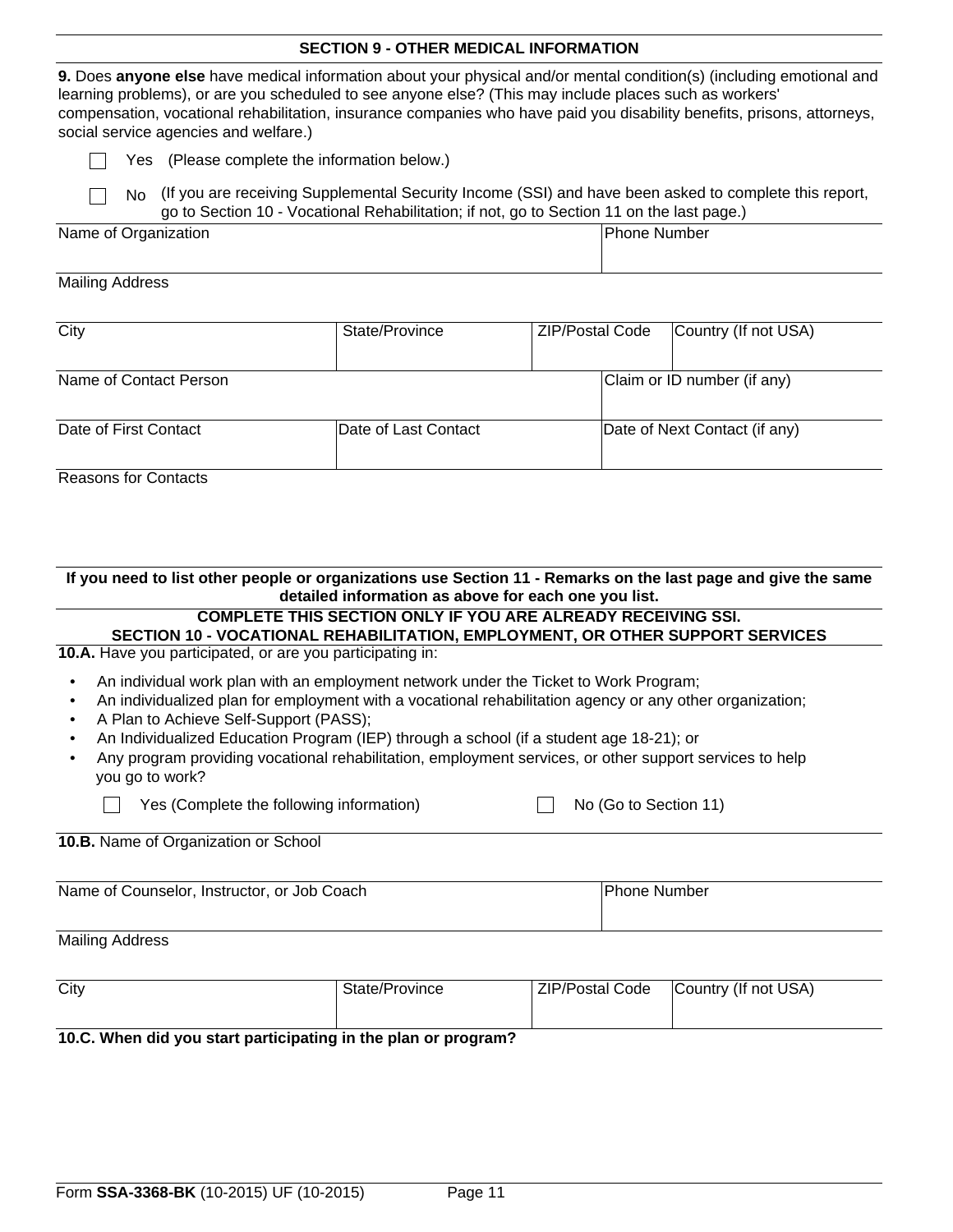#### **SECTION 9 - OTHER MEDICAL INFORMATION**

**9.** Does **anyone else** have medical information about your physical and/or mental condition(s) (including emotional and learning problems), or are you scheduled to see anyone else? (This may include places such as workers' compensation, vocational rehabilitation, insurance companies who have paid you disability benefits, prisons, attorneys, social service agencies and welfare.)

Yes (Please complete the information below.)

|  | No (If you are receiving Supplemental Security Income (SSI) and have been asked to complete this report, |
|--|----------------------------------------------------------------------------------------------------------|
|  | go to Section 10 - Vocational Rehabilitation; if not, go to Section 11 on the last page.)                |

| Name of Organization | Phone Number |
|----------------------|--------------|
|                      |              |

#### Mailing Address

| City                        | State/Province       | <b>ZIP/Postal Code</b> | Country (If not USA)          |
|-----------------------------|----------------------|------------------------|-------------------------------|
| Name of Contact Person      |                      |                        | Claim or ID number (if any)   |
| Date of First Contact       | Date of Last Contact |                        | Date of Next Contact (if any) |
| <b>Reasons for Contacts</b> |                      |                        |                               |

### **If you need to list other people or organizations use Section 11 - Remarks on the last page and give the same detailed information as above for each one you list.**

#### **COMPLETE THIS SECTION ONLY IF YOU ARE ALREADY RECEIVING SSI.**

## **SECTION 10 - VOCATIONAL REHABILITATION, EMPLOYMENT, OR OTHER SUPPORT SERVICES**

No (Go to Section 11)

**10.A.** Have you participated, or are you participating in:

- An individual work plan with an employment network under the Ticket to Work Program;
- An individualized plan for employment with a vocational rehabilitation agency or any other organization;
- A Plan to Achieve Self-Support (PASS);
- An Individualized Education Program (IEP) through a school (if a student age 18-21); or
- Any program providing vocational rehabilitation, employment services, or other support services to help you go to work?

| Yes (Complete the following information) |  |
|------------------------------------------|--|
|------------------------------------------|--|

|  | 10.B. Name of Organization or School |  |
|--|--------------------------------------|--|

| Name of Counselor, Instructor, or Job Coach | <b>Phone Number</b> |
|---------------------------------------------|---------------------|
|                                             |                     |

#### Mailing Address

| City                                                           | State/Province | ZIP/Postal Code | Country (If not USA) |  |
|----------------------------------------------------------------|----------------|-----------------|----------------------|--|
|                                                                |                |                 |                      |  |
| 10.C. When did you start participating in the plan or program? |                |                 |                      |  |